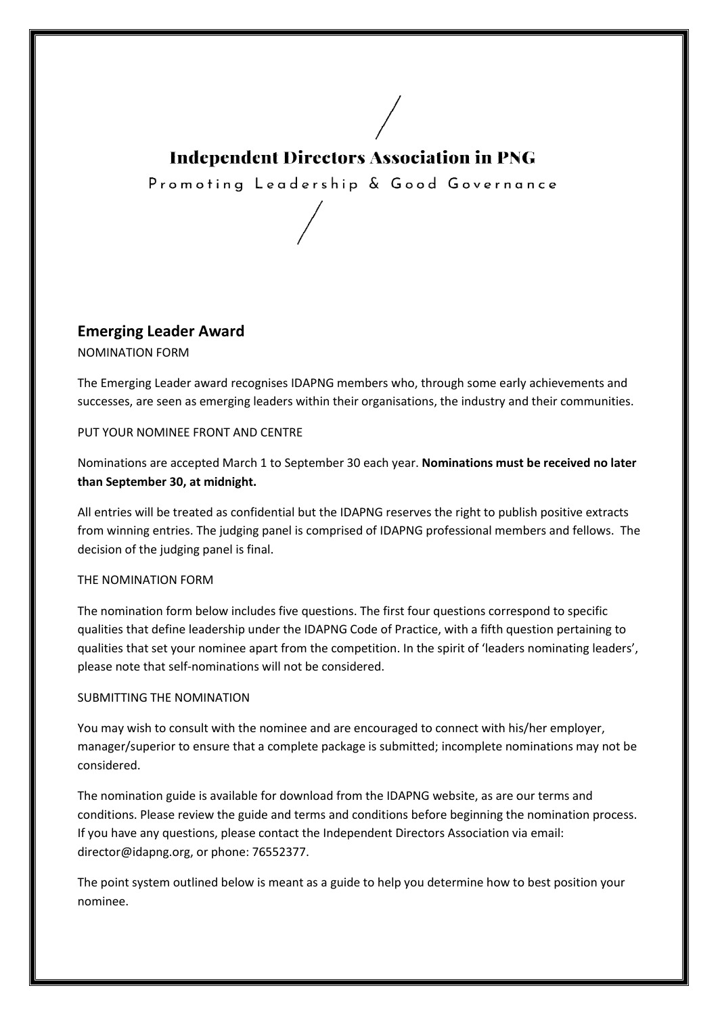## **Independent Directors Association in PNG**

Promoting Leadership & Good Governance

**Emerging Leader Award** 

NOMINATION FORM

The Emerging Leader award recognises IDAPNG members who, through some early achievements and The Emerging Leader award recognises IDAPNG members who, through some early achievements and<br>successes, are seen as emerging leaders within their organisations, the industry and their communities.

#### PUT YOUR NOMINEE FRONT AND CENTRE

Nominations are accepted March 1 to September 30 each year. Nominations must be received no later **than September 30, at midnight. .** 

All entries will be treated as confidential but the IDAPNG reserves the right to publish positive extracts from winning entries. The judging panel is comprised of IDAPNG professional members and fellows. The decision of the judging panel is final.

#### THE NOMINATION FORM

The nomination form below includes five questions. The first four question questions correspond to specific from winning entries. The judging panel is comprised of IDAPNG professional members and fellows. The<br>decision of the judging panel is final.<br>THE NOMINATION FORM<br>The nomination form below includes five questions. The first qualities that set your nominee apart from the competition. In the spirit of 'leaders nominating leaders', please note that self-nominations will not be considered.

#### SUBMITTING THE NOMINATION

You may wish to consult with the nominee and are encouraged to connect with his/her employer, manager/superior to ensure that a complete package is submitted; incomplete nominations may not be considered.

The nomination guide is available for download from the IDAPNG website, as are our terms and conditions. Please review the guide and terms and conditions before beginning the nomination process. If you have any questions, please contact the Independent Directors Association via email: director@idapng.org, or phone: 76552377 76552377. The nomination guide is available for download from the IDAPNG website, as are our terms and<br>conditions. Please review the guide and terms and conditions before beginning the nomination process.<br>If you have any questions,

nominee.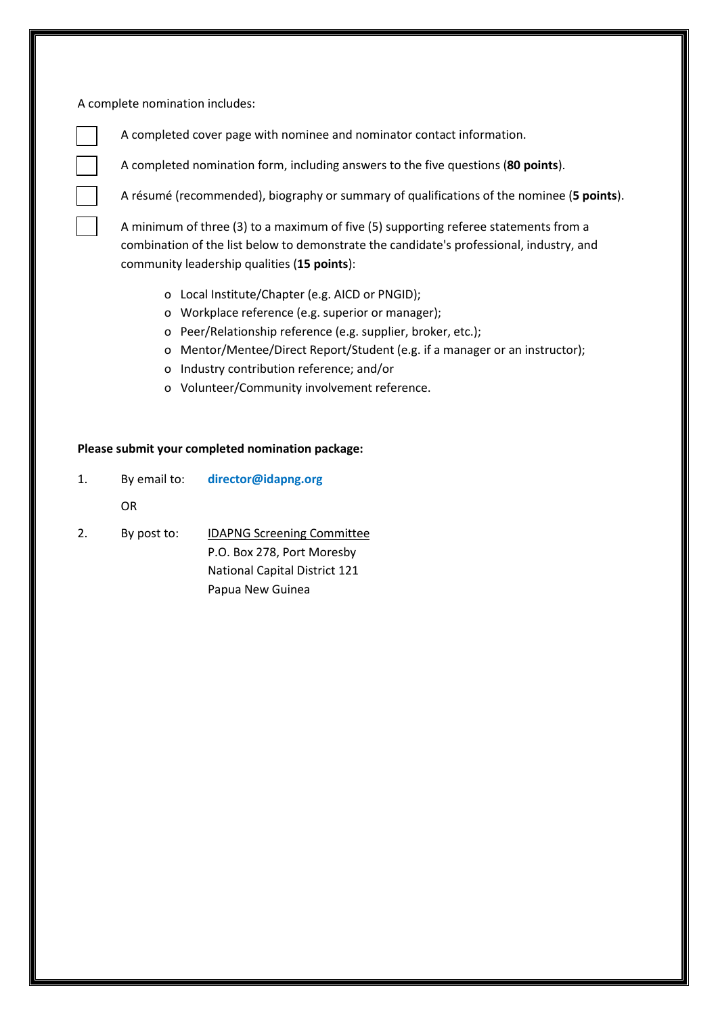A complete nomination includes:

A completed cover page with nominee and nominator contact information.

A completed nomination form, including answers to the five questions (**80 points**).

A résumé (recommended), biography or summary of qualifications of the nominee (**5 points**).

A minimum of three (3) to a maximum of five (5) supporting referee statements from a combination of the list below to demonstrate the candidate's professional, industry, and community leadership qualities (**15 points**):

- o Local Institute/Chapter (e.g. AICD or PNGID);
- o Workplace reference (e.g. superior or manager);
- o Peer/Relationship reference (e.g. supplier, broker, etc.);
- o Mentor/Mentee/Direct Report/Student (e.g. if a manager or an instructor);
- o Industry contribution reference; and/or
- o Volunteer/Community involvement reference.

#### **Please submit your completed nomination package:**

1. By email to: **director@idapng.org**

OR

2. By post to: IDAPNG Screening Committee P.O. Box 278, Port Moresby National Capital District 121 Papua New Guinea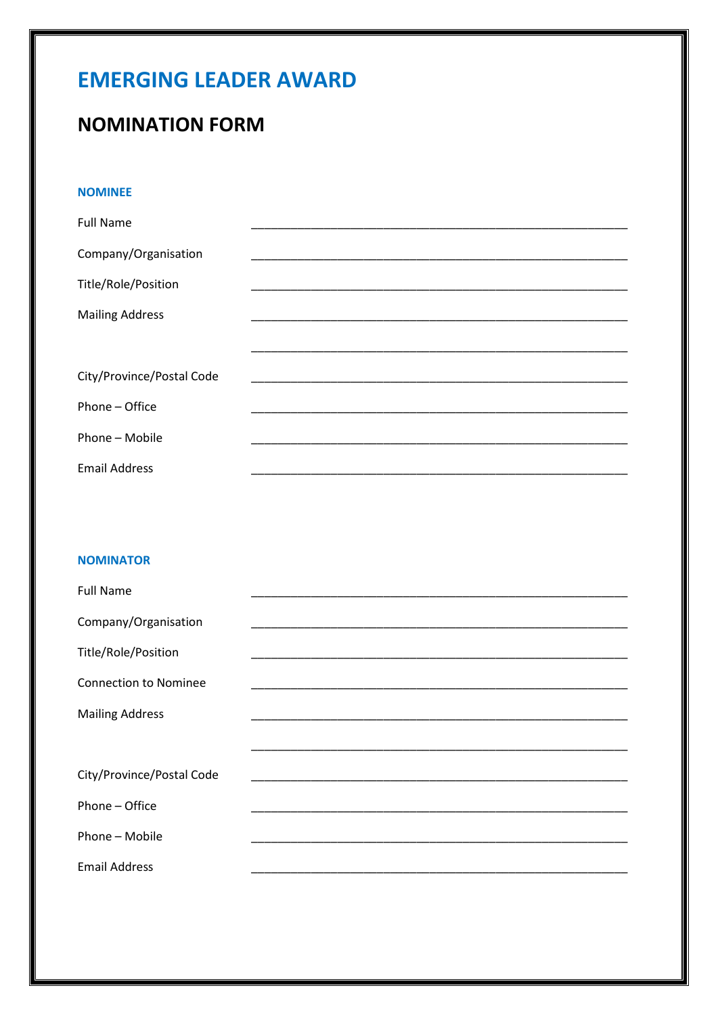# **EMERGING LEADER AWARD**

# **NOMINATION FORM**

#### **NOMINEE**

| <b>Full Name</b>          |  |
|---------------------------|--|
| Company/Organisation      |  |
| Title/Role/Position       |  |
| <b>Mailing Address</b>    |  |
|                           |  |
| City/Province/Postal Code |  |
| Phone - Office            |  |
| Phone - Mobile            |  |
| <b>Email Address</b>      |  |

#### **NOMINATOR**

| <b>Full Name</b>             |  |
|------------------------------|--|
| Company/Organisation         |  |
| Title/Role/Position          |  |
| <b>Connection to Nominee</b> |  |
| <b>Mailing Address</b>       |  |
|                              |  |
| City/Province/Postal Code    |  |
| Phone – Office               |  |
| Phone - Mobile               |  |
| <b>Email Address</b>         |  |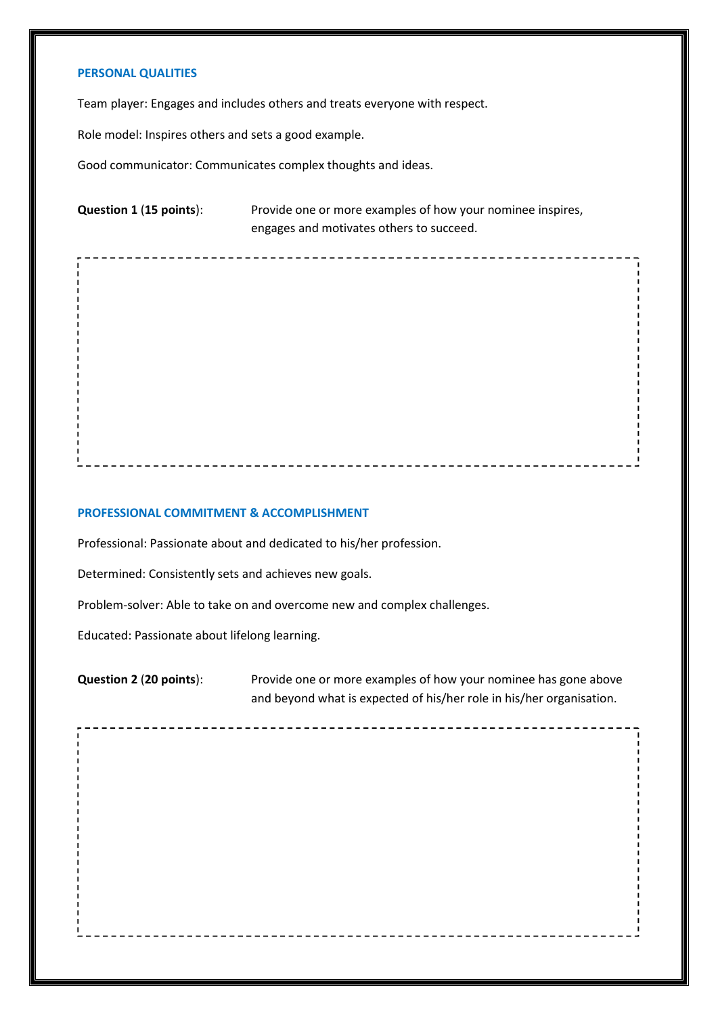#### **PERSONAL QUALITIES**

Team player: Engages and includes others and treats everyone with respect.

Role model: Inspires others and sets a good example.

Good communicator: Communicates complex thoughts and ideas.

**Question 1** (**15 points**): Provide one or more examples of how your nominee inspires, engages and motivates others to succeed.

#### **PROFESSIONAL COMMITMENT & ACCOMPLISHMENT**

Professional: Passionate about and dedicated to his/her profession.

Determined: Consistently sets and achieves new goals.

Problem-solver: Able to take on and overcome new and complex challenges.

Educated: Passionate about lifelong learning.

**Question 2** (**20 points**): Provide one or more examples of how your nominee has gone above and beyond what is expected of his/her role in his/her organisation.

\_ \_ \_ \_ \_ \_ \_ \_ \_ \_ \_ \_ \_ \_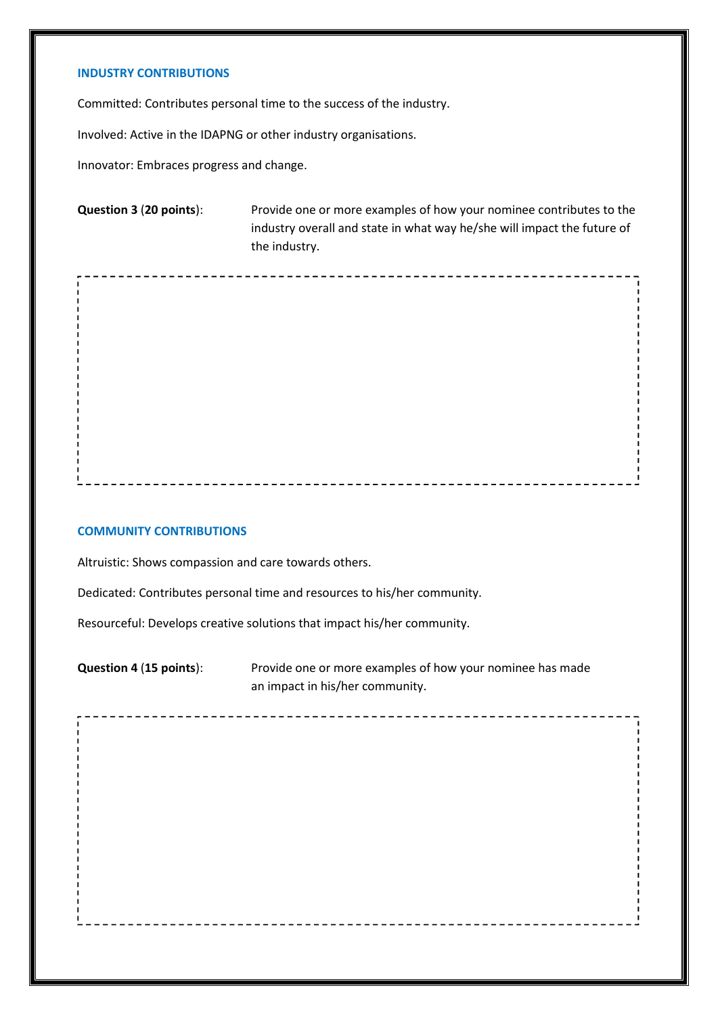### **INDUSTRY CONTRIBUTIONS**

Committed: Contributes personal time to the success of the industry.

Involved: Active in the IDAPNG or other industry organisations.

Innovator: Embraces progress and change.

**Question 3** (**20 points**): Provide one or more examples of how your nominee contributes to the industry overall and state in what way he/she will impact the future of the industry.

\_\_\_\_\_\_\_\_\_\_\_\_\_\_\_\_\_\_\_\_\_\_\_\_\_\_\_\_

------------------------------------

#### **COMMUNITY CONTRIBUTIONS**

Altruistic: Shows compassion and care towards others.

Dedicated: Contributes personal time and resources to his/her community.

Resourceful: Develops creative solutions that impact his/her community.

**Question 4** (**15 points**): Provide one or more examples of how your nominee has made an impact in his/her community.